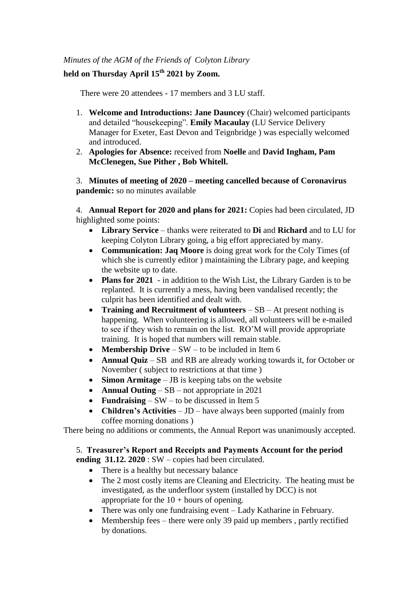## *Minutes of the AGM of the Friends of Colyton Library*

## **held on Thursday April 15th 2021 by Zoom.**

There were 20 attendees - 17 members and 3 LU staff.

- 1. **Welcome and Introductions: Jane Dauncey** (Chair) welcomed participants and detailed "housekeeping". **Emily Macaulay** (LU Service Delivery Manager for Exeter, East Devon and Teignbridge ) was especially welcomed and introduced.
- 2. **Apologies for Absence:** received from **Noelle** and **David Ingham, Pam McClenegen, Sue Pither , Bob Whitell.**

3. **Minutes of meeting of 2020 – meeting cancelled because of Coronavirus pandemic:** so no minutes available

4. **Annual Report for 2020 and plans for 2021:** Copies had been circulated, JD highlighted some points:

- **Library Service**  thanks were reiterated to **Di** and **Richard** and to LU for keeping Colyton Library going, a big effort appreciated by many.
- **Communication: Jaq Moore** is doing great work for the Coly Times (of which she is currently editor ) maintaining the Library page, and keeping the website up to date.
- **Plans for 2021** in addition to the Wish List, the Library Garden is to be replanted. It is currently a mess, having been vandalised recently; the culprit has been identified and dealt with.
- **Training and Recruitment of volunteers** SB At present nothing is happening. When volunteering is allowed, all volunteers will be e-mailed to see if they wish to remain on the list. RO'M will provide appropriate training. It is hoped that numbers will remain stable.
- **Membership Drive** SW to be included in Item 6
- **Annual Quiz** SB and RB are already working towards it, for October or November ( subject to restrictions at that time )
- **Simon Armitage** JB is keeping tabs on the website
- **Annual Outing** SB not appropriate in 2021
- **Fundraising** SW to be discussed in Item 5
- **Children's Activities** JD have always been supported (mainly from coffee morning donations )

There being no additions or comments, the Annual Report was unanimously accepted.

#### 5. **Treasurer's Report and Receipts and Payments Account for the period ending 31.12. 2020** : SW – copies had been circulated.

- There is a healthy but necessary balance
- The 2 most costly items are Cleaning and Electricity. The heating must be investigated, as the underfloor system (installed by DCC) is not appropriate for the  $10 +$  hours of opening.
- There was only one fundraising event Lady Katharine in February.
- Membership fees there were only 39 paid up members, partly rectified by donations.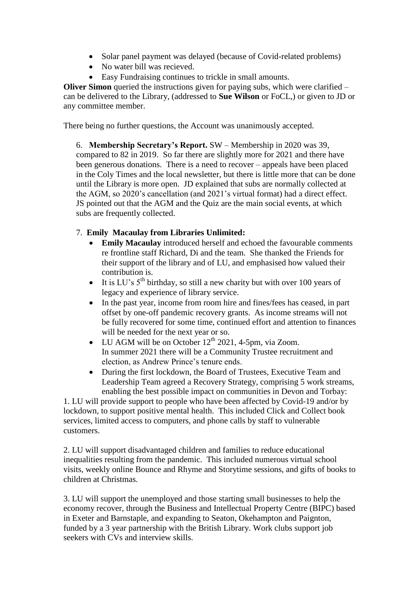- Solar panel payment was delayed (because of Covid-related problems)
- No water bill was recieved.
- Easy Fundraising continues to trickle in small amounts.

**Oliver Simon** queried the instructions given for paying subs, which were clarified – can be delivered to the Library, (addressed to **Sue Wilson** or FoCL,) or given to JD or any committee member.

There being no further questions, the Account was unanimously accepted.

6. **Membership Secretary's Report.** SW – Membership in 2020 was 39, compared to 82 in 2019. So far there are slightly more for 2021 and there have been generous donations. There is a need to recover – appeals have been placed in the Coly Times and the local newsletter, but there is little more that can be done until the Library is more open. JD explained that subs are normally collected at the AGM, so 2020's cancellation (and 2021's virtual format) had a direct effect. JS pointed out that the AGM and the Quiz are the main social events, at which subs are frequently collected.

# 7. **Emily Macaulay from Libraries Unlimited:**

- **Emily Macaulay** introduced herself and echoed the favourable comments re frontline staff Richard, Di and the team. She thanked the Friends for their support of the library and of LU, and emphasised how valued their contribution is.
- It is LU's  $5<sup>th</sup>$  birthday, so still a new charity but with over 100 years of legacy and experience of library service.
- In the past year, income from room hire and fines/fees has ceased, in part offset by one-off pandemic recovery grants. As income streams will not be fully recovered for some time, continued effort and attention to finances will be needed for the next year or so.
- LU AGM will be on October  $12<sup>th</sup>$  2021, 4-5pm, via Zoom. In summer 2021 there will be a Community Trustee recruitment and election, as Andrew Prince's tenure ends.
- During the first lockdown, the Board of Trustees, Executive Team and Leadership Team agreed a Recovery Strategy, comprising 5 work streams, enabling the best possible impact on communities in Devon and Torbay:

1. LU will provide support to people who have been affected by Covid-19 and/or by lockdown, to support positive mental health. This included Click and Collect book services, limited access to computers, and phone calls by staff to vulnerable customers.

2. LU will support disadvantaged children and families to reduce educational inequalities resulting from the pandemic. This included numerous virtual school visits, weekly online Bounce and Rhyme and Storytime sessions, and gifts of books to children at Christmas.

3. LU will support the unemployed and those starting small businesses to help the economy recover, through the Business and Intellectual Property Centre (BIPC) based in Exeter and Barnstaple, and expanding to Seaton, Okehampton and Paignton, funded by a 3 year partnership with the British Library. Work clubs support job seekers with CVs and interview skills.